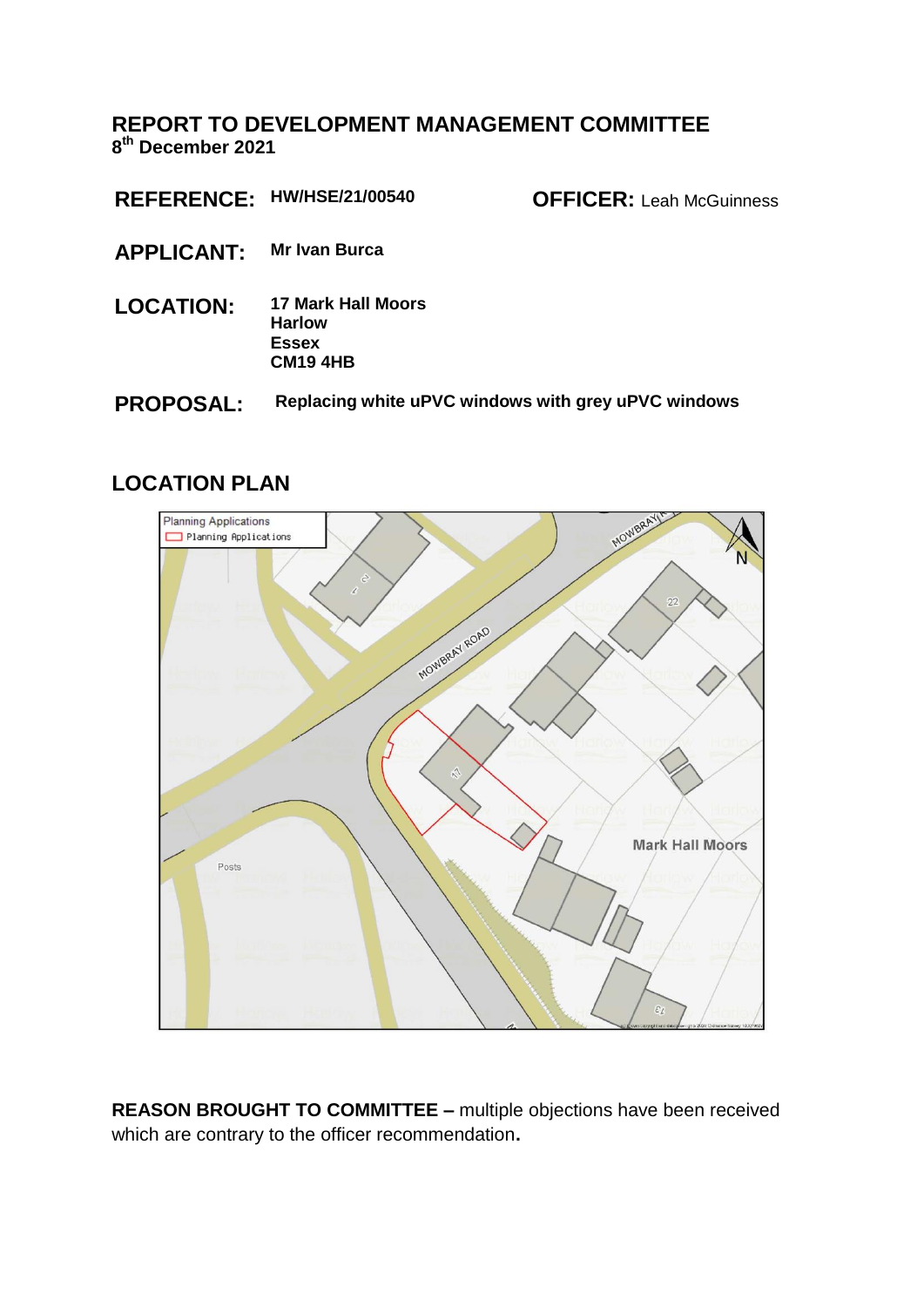### **REPORT TO DEVELOPMENT MANAGEMENT COMMITTEE 8 th December 2021**

**REFERENCE: HW/HSE/21/00540 OFFICER:** Leah McGuinness

- **APPLICANT: Mr Ivan Burca**
- **LOCATION: 17 Mark Hall Moors Harlow Essex CM19 4HB**
- **PROPOSAL: Replacing white uPVC windows with grey uPVC windows**

# **LOCATION PLAN**



**REASON BROUGHT TO COMMITTEE –** multiple objections have been received which are contrary to the officer recommendation**.**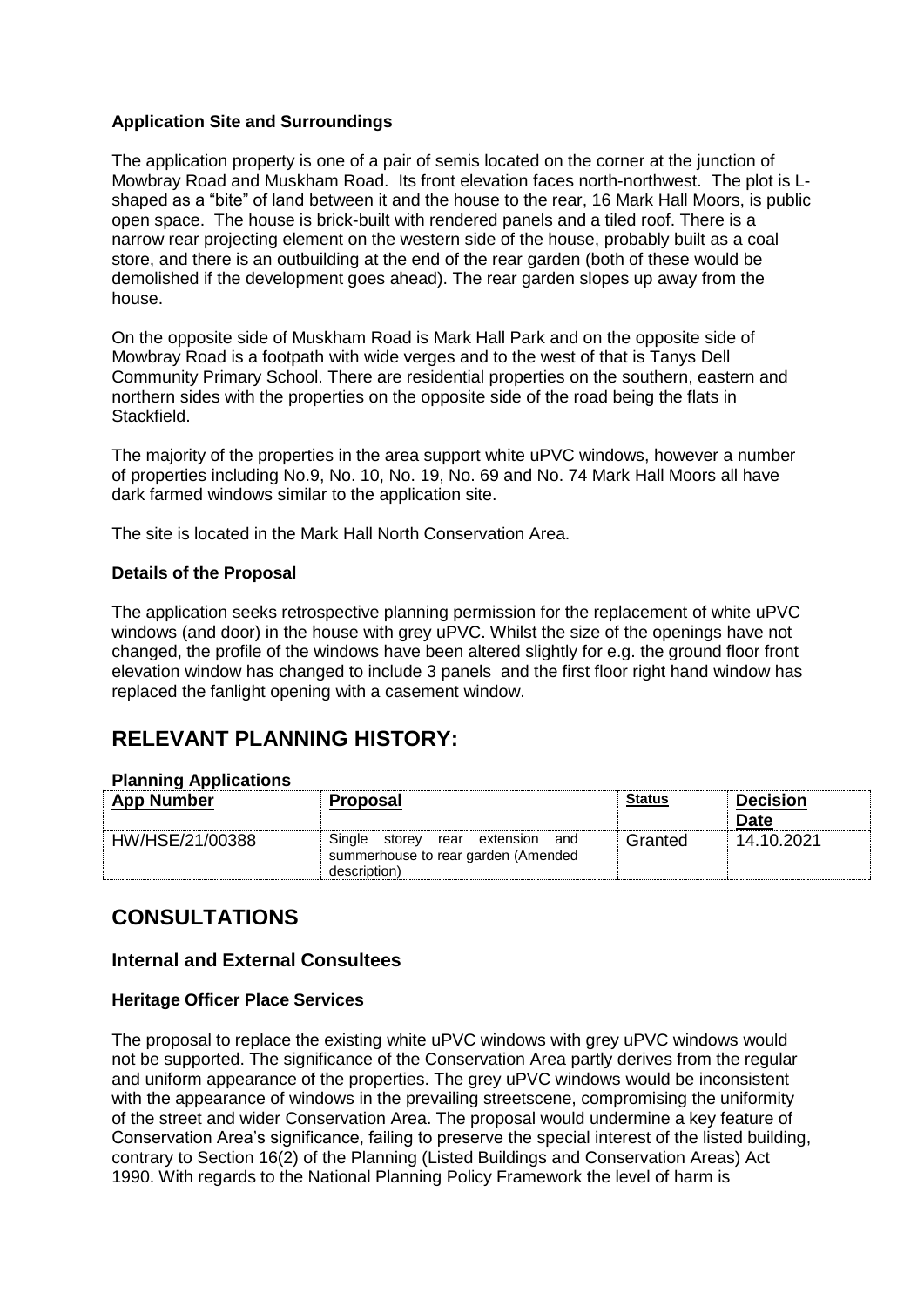### **Application Site and Surroundings**

The application property is one of a pair of semis located on the corner at the junction of Mowbray Road and Muskham Road. Its front elevation faces north-northwest. The plot is Lshaped as a "bite" of land between it and the house to the rear, 16 Mark Hall Moors, is public open space. The house is brick-built with rendered panels and a tiled roof. There is a narrow rear projecting element on the western side of the house, probably built as a coal store, and there is an outbuilding at the end of the rear garden (both of these would be demolished if the development goes ahead). The rear garden slopes up away from the house.

On the opposite side of Muskham Road is Mark Hall Park and on the opposite side of Mowbray Road is a footpath with wide verges and to the west of that is Tanys Dell Community Primary School. There are residential properties on the southern, eastern and northern sides with the properties on the opposite side of the road being the flats in Stackfield.

The majority of the properties in the area support white uPVC windows, however a number of properties including No.9, No. 10, No. 19, No. 69 and No. 74 Mark Hall Moors all have dark farmed windows similar to the application site.

The site is located in the Mark Hall North Conservation Area.

#### **Details of the Proposal**

The application seeks retrospective planning permission for the replacement of white uPVC windows (and door) in the house with grey uPVC. Whilst the size of the openings have not changed, the profile of the windows have been altered slightly for e.g. the ground floor front elevation window has changed to include 3 panels and the first floor right hand window has replaced the fanlight opening with a casement window.

# **RELEVANT PLANNING HISTORY:**

#### **Planning Applications**

| <b>App Number</b> | <b>Proposal</b>                                                                            | <b>Status</b> | <b>Decision</b><br><b>Date</b> |
|-------------------|--------------------------------------------------------------------------------------------|---------------|--------------------------------|
| HW/HSE/21/00388   | Single storey rear extension<br>and<br>summerhouse to rear garden (Amended<br>description) | Granted       | 14.10.2021                     |

### **CONSULTATIONS**

### **Internal and External Consultees**

#### **Heritage Officer Place Services**

The proposal to replace the existing white uPVC windows with grey uPVC windows would not be supported. The significance of the Conservation Area partly derives from the regular and uniform appearance of the properties. The grey uPVC windows would be inconsistent with the appearance of windows in the prevailing streetscene, compromising the uniformity of the street and wider Conservation Area. The proposal would undermine a key feature of Conservation Area's significance, failing to preserve the special interest of the listed building, contrary to Section 16(2) of the Planning (Listed Buildings and Conservation Areas) Act 1990. With regards to the National Planning Policy Framework the level of harm is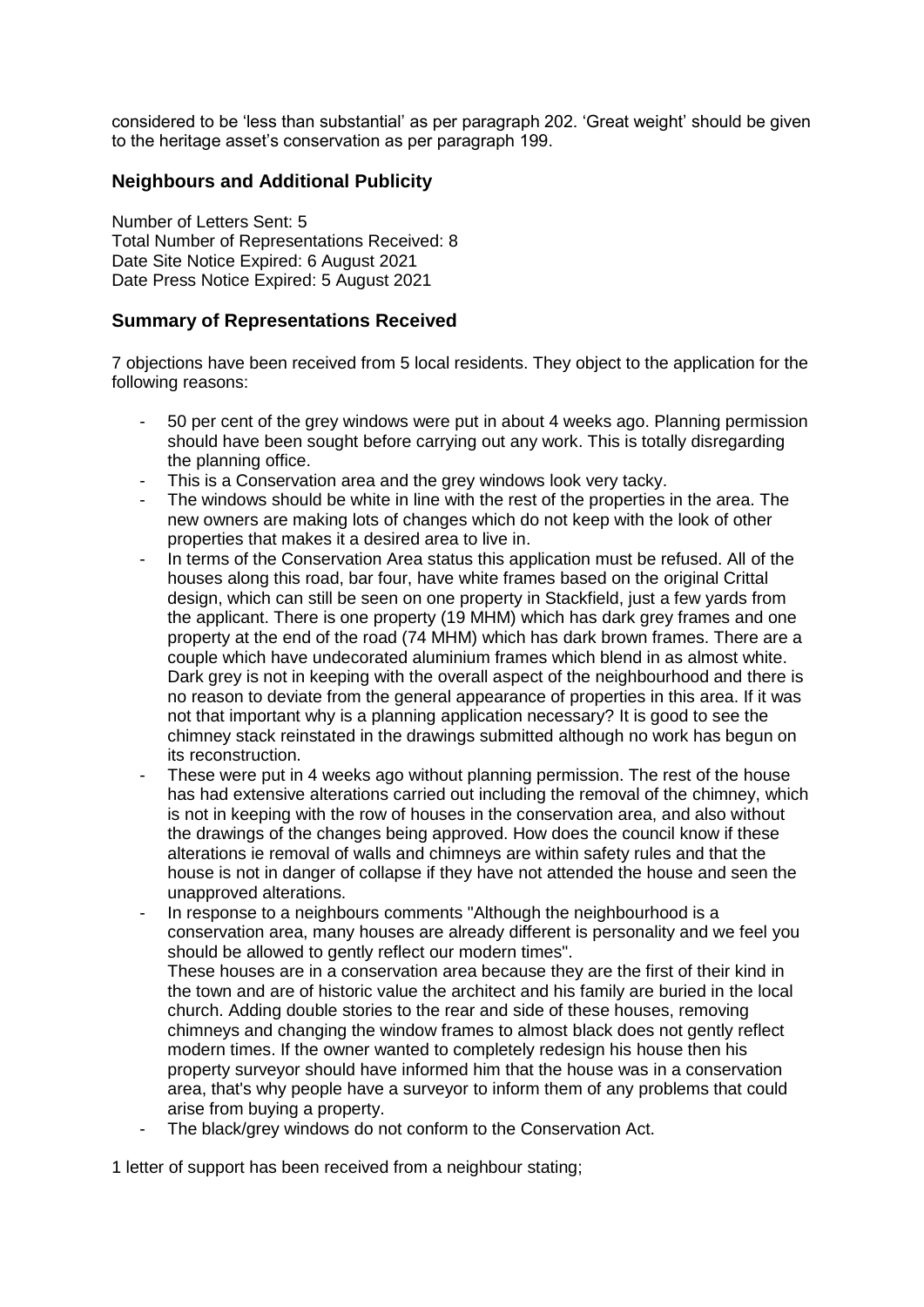considered to be 'less than substantial' as per paragraph 202. 'Great weight' should be given to the heritage asset's conservation as per paragraph 199.

### **Neighbours and Additional Publicity**

Number of Letters Sent: 5 Total Number of Representations Received: 8 Date Site Notice Expired: 6 August 2021 Date Press Notice Expired: 5 August 2021

### **Summary of Representations Received**

7 objections have been received from 5 local residents. They object to the application for the following reasons:

- 50 per cent of the grey windows were put in about 4 weeks ago. Planning permission should have been sought before carrying out any work. This is totally disregarding the planning office.
- This is a Conservation area and the grey windows look very tacky.
- The windows should be white in line with the rest of the properties in the area. The new owners are making lots of changes which do not keep with the look of other properties that makes it a desired area to live in.
- In terms of the Conservation Area status this application must be refused. All of the houses along this road, bar four, have white frames based on the original Crittal design, which can still be seen on one property in Stackfield, just a few yards from the applicant. There is one property (19 MHM) which has dark grey frames and one property at the end of the road (74 MHM) which has dark brown frames. There are a couple which have undecorated aluminium frames which blend in as almost white. Dark grey is not in keeping with the overall aspect of the neighbourhood and there is no reason to deviate from the general appearance of properties in this area. If it was not that important why is a planning application necessary? It is good to see the chimney stack reinstated in the drawings submitted although no work has begun on its reconstruction.
- These were put in 4 weeks ago without planning permission. The rest of the house has had extensive alterations carried out including the removal of the chimney, which is not in keeping with the row of houses in the conservation area, and also without the drawings of the changes being approved. How does the council know if these alterations ie removal of walls and chimneys are within safety rules and that the house is not in danger of collapse if they have not attended the house and seen the unapproved alterations.
- In response to a neighbours comments "Although the neighbourhood is a conservation area, many houses are already different is personality and we feel you should be allowed to gently reflect our modern times". These houses are in a conservation area because they are the first of their kind in the town and are of historic value the architect and his family are buried in the local church. Adding double stories to the rear and side of these houses, removing chimneys and changing the window frames to almost black does not gently reflect modern times. If the owner wanted to completely redesign his house then his property surveyor should have informed him that the house was in a conservation area, that's why people have a surveyor to inform them of any problems that could arise from buying a property.
- The black/grey windows do not conform to the Conservation Act.

1 letter of support has been received from a neighbour stating;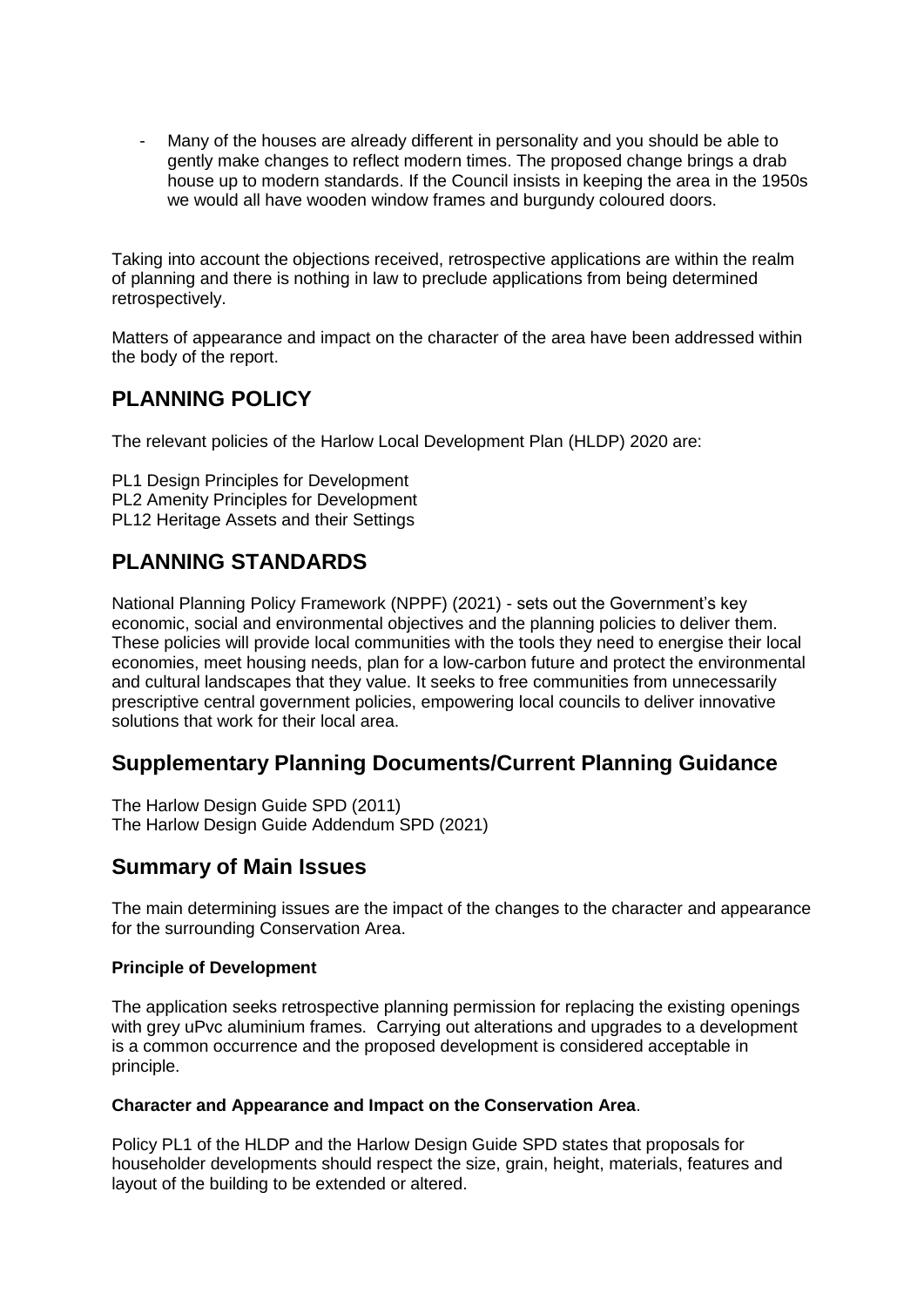- Many of the houses are already different in personality and you should be able to gently make changes to reflect modern times. The proposed change brings a drab house up to modern standards. If the Council insists in keeping the area in the 1950s we would all have wooden window frames and burgundy coloured doors.

Taking into account the objections received, retrospective applications are within the realm of planning and there is nothing in law to preclude applications from being determined retrospectively.

Matters of appearance and impact on the character of the area have been addressed within the body of the report.

# **PLANNING POLICY**

The relevant policies of the Harlow Local Development Plan (HLDP) 2020 are:

PL1 Design Principles for Development PL2 Amenity Principles for Development PL12 Heritage Assets and their Settings

# **PLANNING STANDARDS**

National Planning Policy Framework (NPPF) (2021) - sets out the Government's key economic, social and environmental objectives and the planning policies to deliver them. These policies will provide local communities with the tools they need to energise their local economies, meet housing needs, plan for a low-carbon future and protect the environmental and cultural landscapes that they value. It seeks to free communities from unnecessarily prescriptive central government policies, empowering local councils to deliver innovative solutions that work for their local area.

### **Supplementary Planning Documents/Current Planning Guidance**

The Harlow Design Guide SPD (2011) The Harlow Design Guide Addendum SPD (2021)

# **Summary of Main Issues**

The main determining issues are the impact of the changes to the character and appearance for the surrounding Conservation Area.

### **Principle of Development**

The application seeks retrospective planning permission for replacing the existing openings with grey uPvc aluminium frames. Carrying out alterations and upgrades to a development is a common occurrence and the proposed development is considered acceptable in principle.

#### **Character and Appearance and Impact on the Conservation Area**.

Policy PL1 of the HLDP and the Harlow Design Guide SPD states that proposals for householder developments should respect the size, grain, height, materials, features and layout of the building to be extended or altered.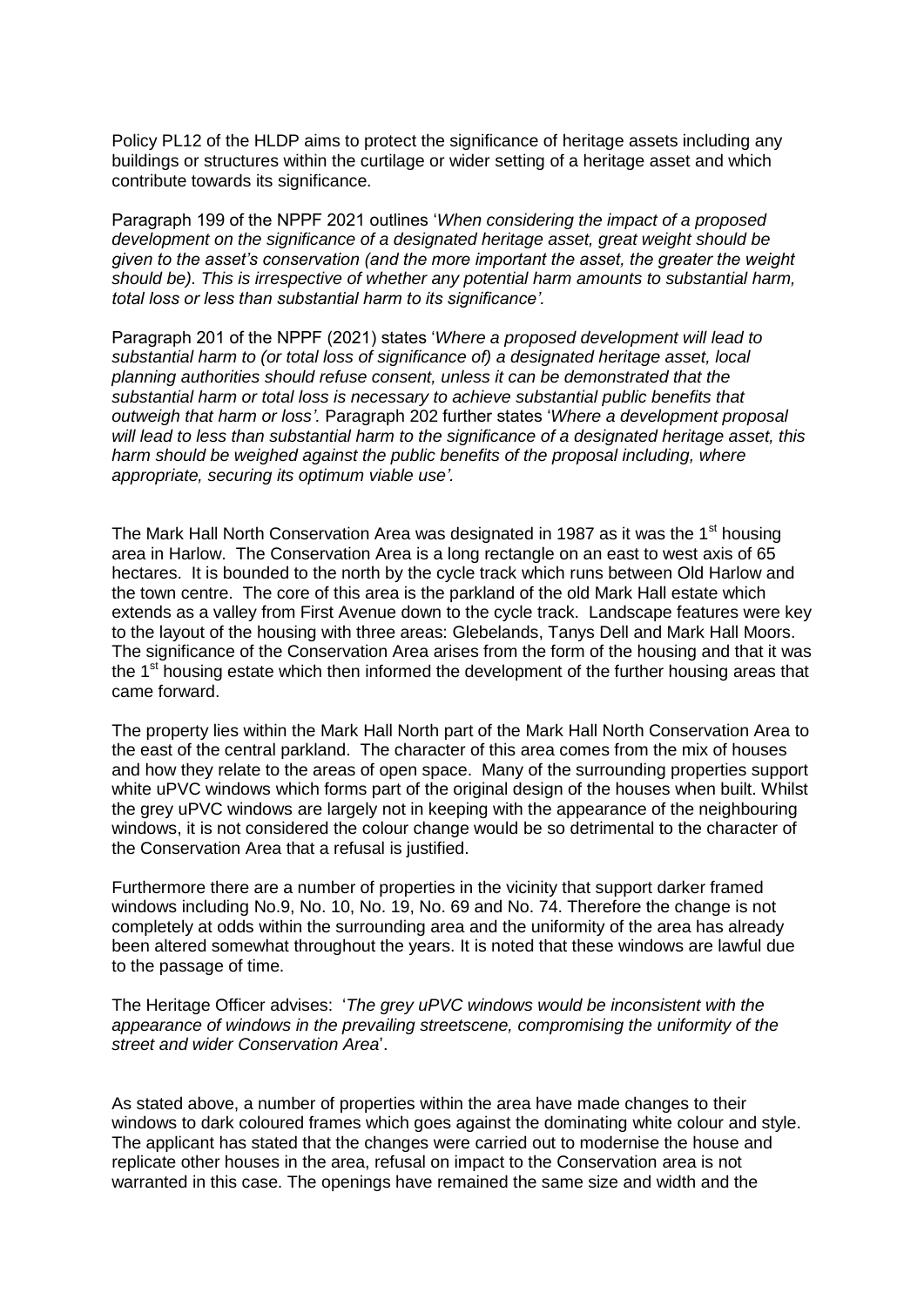Policy PL12 of the HLDP aims to protect the significance of heritage assets including any buildings or structures within the curtilage or wider setting of a heritage asset and which contribute towards its significance.

Paragraph 199 of the NPPF 2021 outlines '*When considering the impact of a proposed development on the significance of a designated heritage asset, great weight should be given to the asset's conservation (and the more important the asset, the greater the weight should be). This is irrespective of whether any potential harm amounts to substantial harm, total loss or less than substantial harm to its significance'.* 

Paragraph 201 of the NPPF (2021) states '*Where a proposed development will lead to substantial harm to (or total loss of significance of) a designated heritage asset, local planning authorities should refuse consent, unless it can be demonstrated that the substantial harm or total loss is necessary to achieve substantial public benefits that outweigh that harm or loss'.* Paragraph 202 further states '*Where a development proposal will lead to less than substantial harm to the significance of a designated heritage asset, this harm should be weighed against the public benefits of the proposal including, where appropriate, securing its optimum viable use'.*

The Mark Hall North Conservation Area was designated in 1987 as it was the 1<sup>st</sup> housing area in Harlow. The Conservation Area is a long rectangle on an east to west axis of 65 hectares. It is bounded to the north by the cycle track which runs between Old Harlow and the town centre. The core of this area is the parkland of the old Mark Hall estate which extends as a valley from First Avenue down to the cycle track. Landscape features were key to the layout of the housing with three areas: Glebelands, Tanys Dell and Mark Hall Moors. The significance of the Conservation Area arises from the form of the housing and that it was the 1<sup>st</sup> housing estate which then informed the development of the further housing areas that came forward.

The property lies within the Mark Hall North part of the Mark Hall North Conservation Area to the east of the central parkland. The character of this area comes from the mix of houses and how they relate to the areas of open space. Many of the surrounding properties support white uPVC windows which forms part of the original design of the houses when built. Whilst the grey uPVC windows are largely not in keeping with the appearance of the neighbouring windows, it is not considered the colour change would be so detrimental to the character of the Conservation Area that a refusal is justified.

Furthermore there are a number of properties in the vicinity that support darker framed windows including No.9, No. 10, No. 19, No. 69 and No. 74. Therefore the change is not completely at odds within the surrounding area and the uniformity of the area has already been altered somewhat throughout the years. It is noted that these windows are lawful due to the passage of time.

The Heritage Officer advises: '*The grey uPVC windows would be inconsistent with the appearance of windows in the prevailing streetscene, compromising the uniformity of the street and wider Conservation Area*'.

As stated above, a number of properties within the area have made changes to their windows to dark coloured frames which goes against the dominating white colour and style. The applicant has stated that the changes were carried out to modernise the house and replicate other houses in the area, refusal on impact to the Conservation area is not warranted in this case. The openings have remained the same size and width and the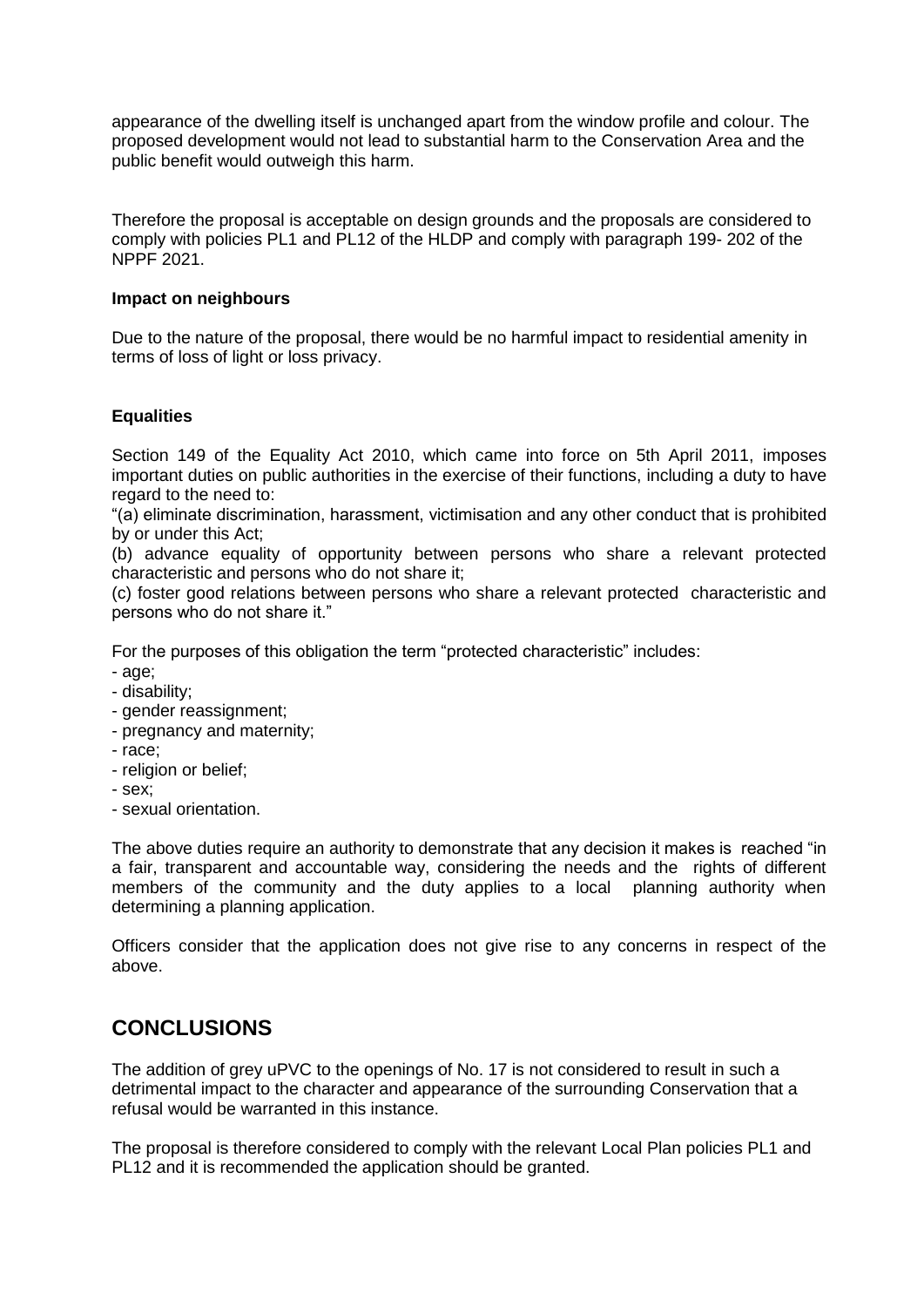appearance of the dwelling itself is unchanged apart from the window profile and colour. The proposed development would not lead to substantial harm to the Conservation Area and the public benefit would outweigh this harm.

Therefore the proposal is acceptable on design grounds and the proposals are considered to comply with policies PL1 and PL12 of the HLDP and comply with paragraph 199- 202 of the NPPF 2021.

#### **Impact on neighbours**

Due to the nature of the proposal, there would be no harmful impact to residential amenity in terms of loss of light or loss privacy.

#### **Equalities**

Section 149 of the Equality Act 2010, which came into force on 5th April 2011, imposes important duties on public authorities in the exercise of their functions, including a duty to have regard to the need to:

"(a) eliminate discrimination, harassment, victimisation and any other conduct that is prohibited by or under this Act;

(b) advance equality of opportunity between persons who share a relevant protected characteristic and persons who do not share it;

(c) foster good relations between persons who share a relevant protected characteristic and persons who do not share it."

For the purposes of this obligation the term "protected characteristic" includes:

- age;
- disability;
- gender reassignment;
- pregnancy and maternity;
- race;
- religion or belief;
- sex;
- sexual orientation.

The above duties require an authority to demonstrate that any decision it makes is reached "in a fair, transparent and accountable way, considering the needs and the rights of different members of the community and the duty applies to a local planning authority when determining a planning application.

Officers consider that the application does not give rise to any concerns in respect of the above.

# **CONCLUSIONS**

The addition of grey uPVC to the openings of No. 17 is not considered to result in such a detrimental impact to the character and appearance of the surrounding Conservation that a refusal would be warranted in this instance.

The proposal is therefore considered to comply with the relevant Local Plan policies PL1 and PL12 and it is recommended the application should be granted.